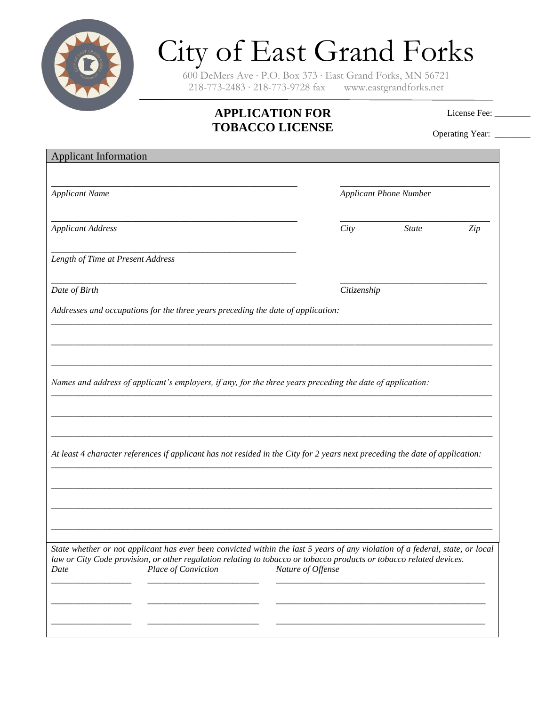

## City of East Grand Forks

600 DeMers Ave ∙ P.O. Box 373 ∙ East Grand Forks, MN 56721 218-773-2483 ∙ 218-773-9728 fax www.eastgrandforks.net

## **APPLICATION FOR TOBACCO LICENSE**

License Fee: \_\_\_\_\_\_\_

Operating Year: \_\_\_\_\_\_\_

| <b>Applicant Information</b>                                                                                                                                                                                                                                                        |                   |                               |     |  |
|-------------------------------------------------------------------------------------------------------------------------------------------------------------------------------------------------------------------------------------------------------------------------------------|-------------------|-------------------------------|-----|--|
| <b>Applicant Name</b>                                                                                                                                                                                                                                                               |                   | <b>Applicant Phone Number</b> |     |  |
| <b>Applicant Address</b>                                                                                                                                                                                                                                                            | City              | <b>State</b>                  | Zip |  |
| Length of Time at Present Address                                                                                                                                                                                                                                                   |                   |                               |     |  |
| Date of Birth                                                                                                                                                                                                                                                                       | Citizenship       |                               |     |  |
| Addresses and occupations for the three years preceding the date of application:                                                                                                                                                                                                    |                   |                               |     |  |
|                                                                                                                                                                                                                                                                                     |                   |                               |     |  |
| Names and address of applicant's employers, if any, for the three years preceding the date of application:                                                                                                                                                                          |                   |                               |     |  |
| At least 4 character references if applicant has not resided in the City for 2 years next preceding the date of application:                                                                                                                                                        |                   |                               |     |  |
|                                                                                                                                                                                                                                                                                     |                   |                               |     |  |
|                                                                                                                                                                                                                                                                                     |                   |                               |     |  |
| State whether or not applicant has ever been convicted within the last 5 years of any violation of a federal, state, or local<br>law or City Code provision, or other regulation relating to tobacco or tobacco products or tobacco related devices.<br>Place of Conviction<br>Date | Nature of Offense |                               |     |  |
|                                                                                                                                                                                                                                                                                     |                   |                               |     |  |
|                                                                                                                                                                                                                                                                                     |                   |                               |     |  |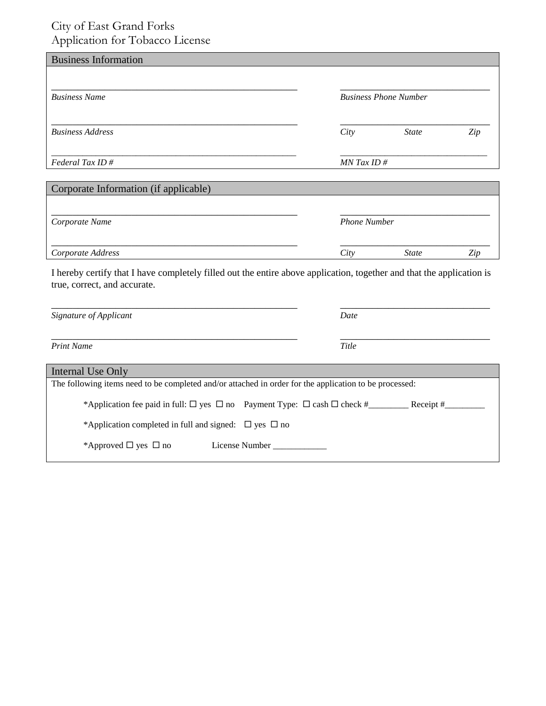## City of East Grand Forks Application for Tobacco License

| . .                                   |                              |              |     |
|---------------------------------------|------------------------------|--------------|-----|
| <b>Business Information</b>           |                              |              |     |
|                                       |                              |              |     |
| <b>Business Name</b>                  | <b>Business Phone Number</b> |              |     |
| <b>Business Address</b>               | City                         | <b>State</b> | Zip |
| Federal Tax ID#                       | $MN$ Tax ID #                |              |     |
| Corporate Information (if applicable) |                              |              |     |
| Corporate Name                        | <b>Phone Number</b>          |              |     |
| Corporate Address                     | City                         | <b>State</b> | Zip |

I hereby certify that I have completely filled out the entire above application, together and that the application is true, correct, and accurate.

| Signature of Applicant                                                                                 | Date      |
|--------------------------------------------------------------------------------------------------------|-----------|
| <b>Print Name</b>                                                                                      | Title     |
| Internal Use Only                                                                                      |           |
| The following items need to be completed and/or attached in order for the application to be processed: |           |
| *Application fee paid in full: $\Box$ yes $\Box$ no Payment Type: $\Box$ cash $\Box$ check #           | Receipt # |
| *Application completed in full and signed: $\Box$ yes $\Box$ no                                        |           |
| *Approved $\Box$ yes $\Box$ no<br>License Number                                                       |           |